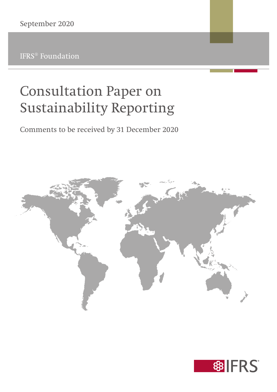IFRS® Foundation

# Consultation Paper on Sustainability Reporting

Comments to be received by 31 December 2020



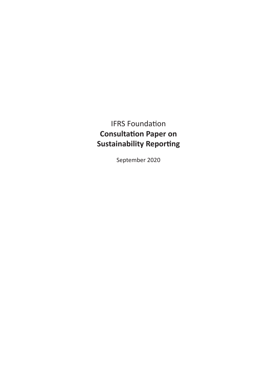# IFRS Foundation **Consultation Paper on Sustainability Reporting**

September 2020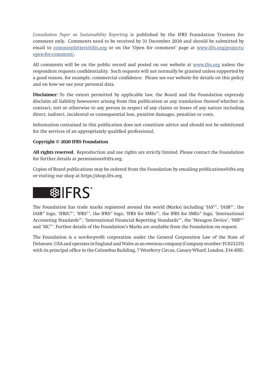*Consultation Paper on Sustainability Reporting* is published by the IFRS Foundation Trustees for comment only. Comments need to be received by 31 December 2020 and should be submitted by email to <u>commentletters@ifrs.org</u> or on the 'Open for comment' page at [www.ifrs.org/projects/](https://www.ifrs.org/projects/open-for-comment/) [open-for-comment/.](https://www.ifrs.org/projects/open-for-comment/)

All comments will be on the public record and posted on our website at [www.ifrs.org](https://www.ifrs.org/) unless the respondent requests confidentiality. Such requests will not normally be granted unless supported by a good reason, for example, commercial confidence. Please see our website for details on this policy and on how we use your personal data.

**Disclaimer:** To the extent permitted by applicable law, the Board and the Foundation expressly disclaim all liability howsoever arising from this publication or any translation thereof whether in contract, tort or otherwise to any person in respect of any claims or losses of any nature including direct, indirect, incidental or consequential loss, punitive damages, penalties or costs.

Information contained in this publication does not constitute advice and should not be substituted for the services of an appropriately qualified professional.

#### **Copyright © 2020 IFRS Foundation**

**All rights reserved.** Reproduction and use rights are strictly limited. Please contact the Foundation for further details at permissions@ifrs.org.

Copies of Board publications may be ordered from the Foundation by emailing publications@ifrs.org or visiting our shop at https://shop.ifrs.org.

# **錦IFRS**

The Foundation has trade marks registered around the world (Marks) including 'IAS®', 'IASB®', the IASB® logo, 'IFRIC®', 'IFRS®', the IFRS® logo, 'IFRS for SMEs®', the IFRS for SMEs® logo, 'International Accounting Standards®', 'International Financial Reporting Standards®', the 'Hexagon Device', 'NIIF®' and 'SIC®'. Further details of the Foundation's Marks are available from the Foundation on request.

The Foundation is a not-for-profit corporation under the General Corporation Law of the State of Delaware, USA and operates in England and Wales as an overseas company (Company number: FC023235) with its principal office in the Columbus Building, 7 Westferry Circus, Canary Wharf, London, E14 4HD.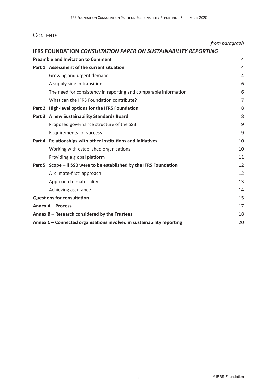### **CONTENTS**

|                                               |                                                                        | from paragraph |
|-----------------------------------------------|------------------------------------------------------------------------|----------------|
|                                               | <b>IFRS FOUNDATION CONSULTATION PAPER ON SUSTAINABILITY REPORTING</b>  |                |
|                                               | <b>Preamble and Invitation to Comment</b>                              | 4              |
|                                               | Part 1 Assessment of the current situation                             | 4              |
|                                               | Growing and urgent demand                                              | $\overline{4}$ |
|                                               | A supply side in transition                                            | 6              |
|                                               | The need for consistency in reporting and comparable information       | 6              |
|                                               | What can the IFRS Foundation contribute?                               | $\overline{7}$ |
|                                               | Part 2 High-level options for the IFRS Foundation                      | 8              |
|                                               | Part 3 A new Sustainability Standards Board                            | 8              |
|                                               | Proposed governance structure of the SSB                               | 9              |
|                                               | <b>Requirements for success</b>                                        | 9              |
|                                               | Part 4 Relationships with other institutions and initiatives           | 10             |
|                                               | Working with established organisations                                 | 10             |
|                                               | Providing a global platform                                            | 11             |
|                                               | Part 5 Scope - if SSB were to be established by the IFRS Foundation    | 12             |
|                                               | A 'climate-first' approach                                             | 12             |
|                                               | Approach to materiality                                                | 13             |
|                                               | Achieving assurance                                                    | 14             |
| <b>Questions for consultation</b>             |                                                                        | 15             |
| Annex A - Process                             |                                                                        | 17             |
| Annex B - Research considered by the Trustees |                                                                        | 18             |
|                                               | Annex C – Connected organisations involved in sustainability reporting | 20             |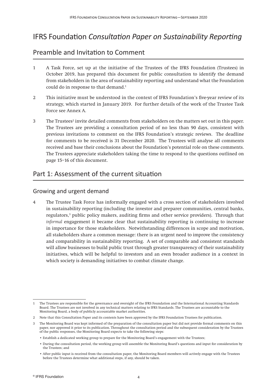# IFRS Foundation *Consultation Paper on Sustainability Reporting*

## <span id="page-4-0"></span>Preamble and Invitation to Comment

- 1 A Task Force, set up at the initiative of the Trustees of the IFRS Foundation (Trustees) in October 2019, has prepared this document for public consultation to identify the demand from stakeholders in the area of sustainability reporting and understand what the Foundation could do in response to that demand.<sup>1</sup>
- 2 This initiative must be understood in the context of IFRS Foundation's five-year review of its strategy, which started in January 2019. For further details of the work of the Trustee Task Force see Annex A.
- 3 The Trustees<sup>2</sup> invite detailed comments from stakeholders on the matters set out in this paper. The Trustees are providing a consultation period of no less than 90 days, consistent with previous invitations to comment on the IFRS Foundation's strategic reviews. The deadline for comments to be received is 31 December 2020. The Trustees will analyse all comments received and base their conclusions about the Foundation's potential role on these comments. The Trustees appreciate stakeholders taking the time to respond to the questions outlined on page 15–16 of this document.

### <span id="page-4-1"></span>Part 1: Assessment of the current situation

### <span id="page-4-2"></span>Growing and urgent demand

4 The Trustee Task Force has informally engaged with a cross section of stakeholders involved in sustainability reporting (including the investor and preparer communities, central banks, regulators,<sup>3</sup> public policy makers, auditing firms and other service providers). Through that *informal* engagement it became clear that sustainability reporting is continuing to increase in importance for those stakeholders. Notwithstanding differences in scope and motivation, all stakeholders share a common message: there is an urgent need to improve the consistency and comparability in sustainability reporting. A set of comparable and consistent standards will allow businesses to build public trust through greater transparency of their sustainability initiatives, which will be helpful to investors and an even broader audience in a context in which society is demanding initiatives to combat climate change.

<sup>1</sup> The Trustees are responsible for the governance and oversight of the IFRS Foundation and the International Accounting Standards Board. The Trustees are not involved in any technical matters relating to IFRS Standards. The Trustees are accountable to the Monitoring Board, a body of publicly accountable market authorities.

<sup>2</sup> Note that this Consultation Paper and its contents have been approved by the IFRS Foundation Trustees for publication.

<sup>3</sup> The Monitoring Board was kept informed of the preparation of the consultation paper but did not provide formal comments on this paper, nor approved it prior to its publication. Throughout the consultation period and the subsequent consideration by the Trustees of the public responses, the Monitoring Board expects to take the following steps:

 <sup>•</sup> Establish a dedicated working group to prepare for the Monitoring Board's engagement with the Trustees;

 <sup>•</sup> During the consultation period, the working group will assemble the Monitoring Board's questions and input for consideration by the Trustees; and

 <sup>•</sup> After public input is received from the consultation paper, the Monitoring Board members will actively engage with the Trustees before the Trustees determine what additional steps, if any, should be taken.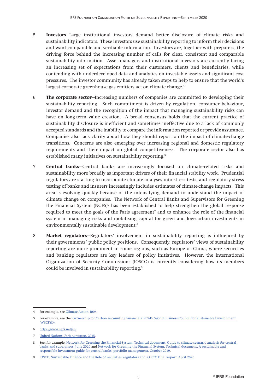- 5 **Investors**—Large institutional investors demand better disclosure of climate risks and sustainability indicators. These investors use sustainability reporting to inform their decisions and want comparable and verifiable information. Investors are, together with preparers, the driving force behind the increasing number of calls for clear, consistent and comparable sustainability information. Asset managers and institutional investors are currently facing an increasing set of expectations from their customers, clients and beneficiaries, while contending with underdeveloped data and analytics on investable assets and significant cost pressures. The investor community has already taken steps to help to ensure that the world's largest corporate greenhouse gas emitters act on climate change.<sup>4</sup>
- 6 **The corporate sector**—Increasing numbers of companies are committed to developing their sustainability reporting. Such commitment is driven by regulation, consumer behaviour, investor demand and the recognition of the impact that managing sustainability risks can have on long-term value creation. A broad consensus holds that the current practice of sustainability disclosure is inefficient and sometimes ineffective due to a lack of commonly accepted standards and the inability to compare the information reported or provide assurance. Companies also lack clarity about how they should report on the impact of climate-change transitions. Concerns are also emerging over increasing regional and domestic regulatory requirements and their impact on global competitiveness. The corporate sector also has established many initiatives on sustainability reporting.<sup>5</sup>
- 7 **Central banks**—Central banks are increasingly focused on climate-related risks and sustainability more broadly as important drivers of their financial stability work. Prudential regulators are starting to incorporate climate analyses into stress tests, and regulatory stress testing of banks and insurers increasingly includes estimates of climate-change impacts. This area is evolving quickly because of the intensifying demand to understand the impact of climate change on companies. The Network of Central Banks and Supervisors for Greening the Financial System (NGFS)<sup>6</sup> has been established to help strengthen the global response required to meet the goals of the Paris agreement<sup>7</sup> and to enhance the role of the financial system in managing risks and mobilising capital for green and low-carbon investments in environmentally sustainable development.8
- 8 **Market regulators**—Regulators' involvement in sustainability reporting is influenced by their governments' public policy positions. Consequently, regulators' views of sustainability reporting are more prominent in some regions, such as Europe or China, where securities and banking regulators are key leaders of policy initiatives. However, the International Organization of Security Commissions (IOSCO) is currently considering how its members could be involved in sustainability reporting.<sup>9</sup>

<sup>4</sup> For example, see [Climate Action 100+](https://climateaction100.wpcomstaging.com/about-us/).

<sup>5</sup> For example, see the [Partnership for Carbon Accounting Financials \(PCAF\),](https://carbonaccountingfinancials.com/about) [World Business Council for Sustainable Development](https://www.wbcsd.org/Overview/About-us)  [\(WBCFSD\)](https://www.wbcsd.org/Overview/About-us).

<sup>6</sup> [https://www.ngfs.net/en.](https://www.ngfs.net/en)

<sup>7</sup> [United Nations,](https://unfccc.int/files/essential_background/convention/application/pdf/english_paris_agreement.pdf) *Paris Agreement*, 2015.

<sup>8</sup> See, for example, [Network for Greening the Financial System, Technical document: Guide to climate scenario analysis for central](https://www.ngfs.net/sites/default/files/medias/documents/ngfs_guide_scenario_analysis_final.pdf)  [banks and supervisors, June 2020](https://www.ngfs.net/sites/default/files/medias/documents/ngfs_guide_scenario_analysis_final.pdf) and [Network for Greening the Financial System, Technical document: A sustainable and](https://www.ngfs.net/sites/default/files/medias/documents/ngfs-a-sustainable-and-responsible-investment-guide.pdf)  [responsible investment guide for central banks' portfolio management, October 2019](https://www.ngfs.net/sites/default/files/medias/documents/ngfs-a-sustainable-and-responsible-investment-guide.pdf).

<sup>9</sup> [IOSCO, Sustainable Finance and the Role of Securities Regulators and IOSCO: Final Report, April 2020.](https://www.iosco.org/library/pubdocs/pdf/IOSCOPD652.pdf)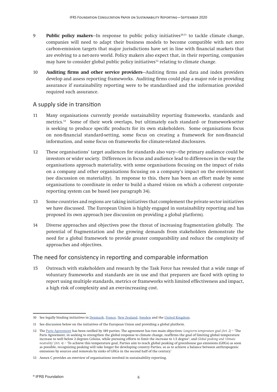- 9 **Public policy makers**—In response to public policy initiatives<sup>10,11</sup> to tackle climate change, companies will need to adapt their business models to become compatible with net zero carbon-emission targets that major jurisdictions have set in line with financial markets that are evolving to a net-zero world. Policy makers also expect that, in their reporting, companies may have to consider global public policy initiatives<sup>12</sup> relating to climate change.
- 10 **Auditing firms and other service providers**—Auditing firms and data and index providers develop and assess reporting frameworks. Auditing firms could play a major role in providing assurance if sustainability reporting were to be standardised and the information provided required such assurance.

### <span id="page-6-0"></span>A supply side in transition

- 11 Many organisations currently provide sustainability reporting frameworks, standards and metrics.13 Some of their work overlaps, but ultimately each standard- or framework-setter is seeking to produce specific products for its own stakeholders. Some organisations focus on non-financial standard-setting, some focus on creating a framework for non-financial information, and some focus on frameworks for climate-related disclosures.
- 12 These organisations' target audiences for standards also vary—the primary audience could be investors or wider society. Differences in focus and audience lead to differences in the way the organisations approach materiality, with some organisations focusing on the impact of risks on a company and other organisations focusing on a company's impact on the environment (see discussion on materiality). In response to this, there has been an effort made by some organisations to coordinate in order to build a shared vision on which a coherent corporatereporting system can be based (see paragraph 34).
- 13 Some countries and regions are taking initiatives that complement the private sector initiatives we have discussed. The European Union is highly engaged in sustainability reporting and has proposed its own approach (see discussion on providing a global platform).
- 14 Diverse approaches and objectives pose the threat of increasing fragmentation globally. The potential of fragmentation and the growing demands from stakeholders demonstrate the need for a global framework to provide greater comparability and reduce the complexity of approaches and objectives.

### <span id="page-6-1"></span>The need for consistency in reporting and comparable information

15 Outreach with stakeholders and research by the Task Force has revealed that a wide range of voluntary frameworks and standards are in use and that preparers are faced with opting to report using multiple standards, metrics or frameworks with limited effectiveness and impact, a high risk of complexity and an ever-increasing cost.

<sup>10</sup> See legally binding initiatives in [Denmark,](https://ens.dk/en/our-responsibilities/energy-climate-politics/danish-climate-policies) [France](https://www.reuters.com/article/us-france-energy/france-sets-2050-carbon-neutral-target-with-new-law-idUSKCN1TS30B), [New Zealand,](https://www.reuters.com/article/us-newzealand-climate/new-zealand-passes-law-aiming-for-net-zero-carbon-emissions-by-2050-idUSKBN1XH0RQ) [Sweden](http://www.swedishepa.se/Environmental-objectives-and-cooperation/Swedish-environmental-work/Work-areas/Climate/Climate-Act-and-Climate-policy-framework-/) and the [United Kingdom.](https://www.gov.uk/government/news/uk-becomes-first-major-economy-to-pass-net-zero-emissions-law)

<sup>11</sup> See discussion below on the initiatives of the European Union and providing a global platform.

<sup>12</sup> The [Paris Agreement](https://unfccc.int/files/essential_background/convention/application/pdf/english_paris_agreement.pdf) has been ratified by 189 parties. The agreement has two main objectives: *Long-term temperature goal (Art. 2)* – 'The Paris Agreement, in seeking to strengthen the global response to climate change, reaffirms the goal of limiting global temperature increase to well below 2 degrees Celsius, while pursuing efforts to limit the increase to 1.5 degree'; and *Global peaking and 'climate neutrality' (Art. 4)* – 'To achieve this temperature goal, Parties aim to reach global peaking of greenhouse gas emissions (GHGs) as soon as possible, recognizing peaking will take longer for developing country Parties, so as to achieve a balance between anthropogenic emissions by sources and removals by sinks of GHGs in the second half of the century.'

<sup>13</sup> Annex C provides an overview of organisations involved in sustainability reporting.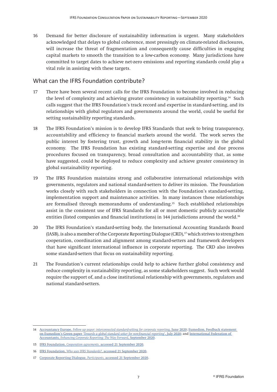16 Demand for better disclosure of sustainability information is urgent. Many stakeholders acknowledged that delays to global coherence, most pressingly on climate-related disclosures, will increase the threat of fragmentation and consequently cause difficulties in engaging capital markets to smooth the transition to a low-carbon economy. Many jurisdictions have committed to target dates to achieve net-zero emissions and reporting standards could play a vital role in assisting with these targets.

### <span id="page-7-0"></span>What can the IFRS Foundation contribute?

- 17 There have been several recent calls for the IFRS Foundation to become involved in reducing the level of complexity and achieving greater consistency in sustainability reporting.14 Such calls suggest that the IFRS Foundation's track record and expertise in standard-setting, and its relationships with global regulators and governments around the world, could be useful for setting sustainability reporting standards.
- 18 The IFRS Foundation's mission is to develop IFRS Standards that seek to bring transparency, accountability and efficiency to financial markets around the world. The work serves the public interest by fostering trust, growth and long-term financial stability in the global economy. The IFRS Foundation has existing standard-setting expertise and due process procedures focused on transparency, broad consultation and accountability that, as some have suggested, could be deployed to reduce complexity and achieve greater consistency in global sustainability reporting.
- 19 The IFRS Foundation maintains strong and collaborative international relationships with governments, regulators and national standard-setters to deliver its mission. The Foundation works closely with such stakeholders in connection with the Foundation's standard-setting, implementation support and maintenance activities. In many instances those relationships are formalised through memorandums of understanding.15 Such established relationships assist in the consistent use of IFRS Standards for all or most domestic publicly accountable entities (listed companies and financial institutions) in 144 jurisdictions around the world.<sup>16</sup>
- 20 The IFRS Foundation's standard-setting body, the International Accounting Standards Board (IASB), is also a member of the Corporate Reporting Dialogue (CRD),<sup>17</sup> which strives to strengthen cooperation, coordination and alignment among standard-setters and framework developers that have significant international influence in corporate reporting. The CRD also involves some standard-setters that focus on sustainability reporting.
- 21 The Foundation's current relationships could help to achieve further global consistency and reduce complexity in sustainability reporting, as some stakeholders suggest. Such work would require the support of, and a close institutional relationship with governments, regulators and national standard-setters.

<sup>14</sup> Accountancy Europe, *[Follow up paper: interconnected standard-setting for corporate reporting](https://www.accountancyeurope.eu/publications/follow-up-paper-interconnected-standard-setting-for-corporate-reporting/)*, June 2020; [Eumedion, Feedback statement](https://en.eumedion.nl/clientdata/217/media/clientimages/Feedback-statement-Green-Paper-NFI-def.pdf?v=200724154423)  on Eumedion's Green paper '*[Towards a global standard setter for non-financial reporting](https://en.eumedion.nl/clientdata/217/media/clientimages/Feedback-statement-Green-Paper-NFI-def.pdf?v=200724154423)*', July 2020; and [International Federation of](https://www.ifac.org/knowledge-gateway/contributing-global-economy/discussion/enhancing-corporate-reporting-way-forward)  Accountants, *[Enhancing Corporate Reporting: The Way Forward](https://www.ifac.org/knowledge-gateway/contributing-global-economy/discussion/enhancing-corporate-reporting-way-forward)*, September 2020.

<sup>15</sup> IFRS Foundation, *Cooperation agreements*[, accessed 21 September 2020.](https://www.ifrs.org/use-around-the-world/why-global-accounting-standards/#cooperation)

<sup>16</sup> IFRS Foundation, *Who uses IFRS Standards?*[, accessed 21 September 2020.](https://www.ifrs.org/use-around-the-world/use-of-ifrs-standards-by-jurisdiction/#profiles)

<sup>17</sup> [Corporate Reporting Dialogue,](https://corporatereportingdialogue.com/about/#participants) *Participants*, accessed 21 September 2020.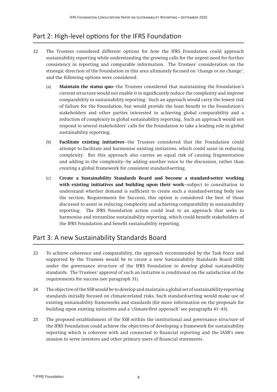# <span id="page-8-0"></span>Part 2: High-level options for the IFRS Foundation

- 22 The Trustees considered different options for how the IFRS Foundation could approach sustainability reporting while understanding the growing calls for the urgent need for further consistency in reporting and comparable information. The Trustees' consideration on the strategic direction of the Foundation in this area ultimately focused on 'change or no change', and the following options were considered:
	- (a) **Maintain the status quo**—the Trustees considered that maintaining the Foundation's current structure would not enable it to significantly reduce the complexity and improve comparability in sustainability reporting. Such an approach would carry the lowest risk of failure for the Foundation, but would provide the least benefit to the Foundation's stakeholders and other parties interested in achieving global comparability and a reduction of complexity in global sustainability reporting. Such an approach would not respond to several stakeholders' calls for the Foundation to take a leading role in global sustainability reporting.
	- (b) **Facilitate existing initiatives**—the Trustees considered that the Foundation could attempt to facilitate and harmonise existing initiatives, which could assist in reducing complexity. But this approach also carries an equal risk of causing fragmentation and adding to the complexity—by adding another voice to the discussion, rather than creating a global framework for consistent standard-setting.
	- (c) **Create a Sustainability Standards Board and become a standard-setter working with existing initiatives and building upon their work**—subject to consultation to understand whether demand is sufficient to create such a standard-setting body (see the section, Requirements for Success), this option is considered the best of those discussed to assist in reducing complexity and achieving comparability in sustainability reporting. The IFRS Foundation action could lead to an approach that seeks to harmonise and streamline sustainability reporting, which could benefit stakeholders of the IFRS Foundation and benefit sustainability reporting.

### <span id="page-8-1"></span>Part 3: A new Sustainability Standards Board

- 23 To achieve coherence and comparability, the approach recommended by the Task Force and supported by the Trustees would be to create a new Sustainability Standards Board (SSB) under the governance structure of the IFRS Foundation to develop global sustainability standards. The Trustees' approval of such an initiative is conditional on the satisfaction of the requirements for success (see paragraph 31).
- 24 The objective of the SSB would be to develop and maintain a global set of sustainability-reporting standards initially focused on climate-related risks. Such standard-setting would make use of existing sustainability frameworks and standards (for more information on the proposals for building upon existing initiatives and a 'climate-first approach' see paragraphs 41–43).
- 25 The proposed establishment of the SSB within the institutional and governance structure of the IFRS Foundation could achieve the objectives of developing a framework for sustainability reporting which is coherent with and connected to financial reporting and the IASB's own mission to serve investors and other primary users of financial statements.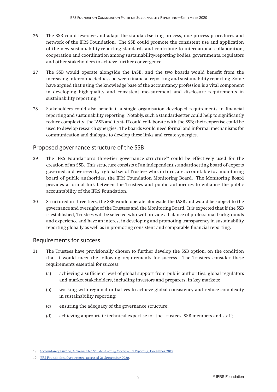- 26 The SSB could leverage and adapt the standard-setting process, due process procedures and network of the IFRS Foundation. The SSB could promote the consistent use and application of the new sustainability-reporting standards and contribute to international collaboration, cooperation and coordination among sustainability-reporting bodies, governments, regulators and other stakeholders to achieve further convergence.
- 27 The SSB would operate alongside the IASB, and the two boards would benefit from the increasing interconnectedness between financial reporting and sustainability reporting. Some have argued that using the knowledge base of the accountancy profession is a vital component in developing high-quality and consistent measurement and disclosure requirements in sustainability reporting.<sup>18</sup>
- 28 Stakeholders could also benefit if a single organisation developed requirements in financial reporting and sustainability reporting. Notably, such a standard-setter could help to significantly reduce complexity: the IASB and its staff could collaborate with the SSB; their expertise could be used to develop research synergies. The boards would need formal and informal mechanisms for communication and dialogue to develop these links and create synergies.

### <span id="page-9-0"></span>Proposed governance structure of the SSB

- 29 The IFRS Foundation's three-tier governance structure<sup>19</sup> could be effectively used for the creation of an SSB. This structure consists of an independent standard-setting board of experts governed and overseen by a global set of Trustees who, in turn, are accountable to a monitoring board of public authorities, the IFRS Foundation Monitoring Board. The Monitoring Board provides a formal link between the Trustees and public authorities to enhance the public accountability of the IFRS Foundation.
- 30 Structured in three tiers, the SSB would operate alongside the IASB and would be subject to the governance and oversight of the Trustees and the Monitoring Board. It is expected that if the SSB is established, Trustees will be selected who will provide a balance of professional backgrounds and experience and have an interest in developing and promoting transparency in sustainability reporting globally as well as in promoting consistent and comparable financial reporting.

### <span id="page-9-1"></span>Requirements for success

- 31 The Trustees have provisionally chosen to further develop the SSB option, on the condition that it would meet the following requirements for success. The Trustees consider these requirements essential for success:
	- (a) achieving a sufficient level of global support from public authorities, global regulators and market stakeholders, including investors and preparers, in key markets;
	- (b) working with regional initiatives to achieve global consistency and reduce complexity in sustainability reporting;
	- (c) ensuring the adequacy of the governance structure;
	- (d) achieving appropriate technical expertise for the Trustees, SSB members and staff;

<sup>18</sup> Accountancy Europe, *[Interconnected Standard Setting for corporate Reporting](https://www.accountancyeurope.eu/wp-content/uploads/191220-Future-of-Corporate-Reporting.pdf)*, December 2019.

<sup>19</sup> IFRS Foundation, *Our structure*[, accessed 21 September 2020](https://www.ifrs.org/about-us/our-structure/).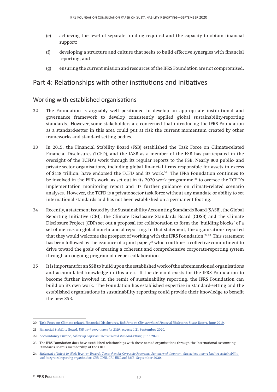- (e) achieving the level of separate funding required and the capacity to obtain financial support;
- (f) developing a structure and culture that seeks to build effective synergies with financial reporting; and
- (g) ensuring the current mission and resources of the IFRS Foundation are not compromised.

### <span id="page-10-0"></span>Part 4: Relationships with other institutions and initiatives

### <span id="page-10-1"></span>Working with established organisations

- 32 The Foundation is arguably well positioned to develop an appropriate institutional and governance framework to develop consistently applied global sustainability-reporting standards. However, some stakeholders are concerned that introducing the IFRS Foundation as a standard-setter in this area could put at risk the current momentum created by other frameworks and standard-setting bodies.
- 33 In 2015, the Financial Stability Board (FSB) established the Task Force on Climate-related Financial Disclosures (TCFD), and the IASB as a member of the FSB has participated in the oversight of the TCFD's work through its regular reports to the FSB. Nearly 800 public- and private-sector organisations, including global financial firms responsible for assets in excess of \$118 trillion, have endorsed the TCFD and its work.20 The IFRS Foundation continues to be involved in the FSB's work, as set out in its 2020 work programme,<sup>21</sup> to oversee the TCFD's implementation monitoring report and its further guidance on climate-related scenario analyses. However, the TCFD is a private-sector task force without any mandate or ability to set international standards and has not been established on a permanent footing.
- 34 Recently, a statement issued by the Sustainability Accounting Standards Board (SASB), the Global Reporting Initiative (GRI), the Climate Disclosure Standards Board (CDSB) and the Climate Disclosure Project (CDP) set out a proposal for collaboration to form the 'building blocks' of a set of metrics on global non-financial reporting. In that statement, the organisations reported that they would welcome the prospect of working with the IFRS Foundation.22,23 This statement has been followed by the issuance of a joint paper,<sup>24</sup> which outlines a collective commitment to drive toward the goals of creating a coherent and comprehensive corporate-reporting system through an ongoing program of deeper collaboration.
- 35 It is important for an SSB to build upon the established work of the aforementioned organisations and accumulated knowledge in this area. If the demand exists for the IFRS Foundation to become further involved in the remit of sustainability reporting, the IFRS Foundation can build on its own work. The Foundation has established expertise in standard-setting and the established organisations in sustainability reporting could provide their knowledge to benefit the new SSB.

<sup>20</sup> Task Force on Climate-related Financial Disclosures, *[Task Force on Climate-related Financial Disclosures: Status Report](https://www.fsb-tcfd.org/wp-content/uploads/2019/06/2019-TCFD-Status-Report-FINAL-053119.pdf)*, June 2019.

<sup>21</sup> Financial Stability Board, *FSB work programme for 2020*[, accessed 21 September 2020](https://www.fsb.org/2019/12/fsb-work-programme-for-2020/).

<sup>22</sup> Accountancy Europe, *[Follow up paper on interconnected standard-setting](https://www.accountancyeurope.eu/publications/follow-up-paper-interconnected-standard-setting-for-corporate-reporting/)*, June 2020.

<sup>23</sup> The IFRS Foundation does have established relationships with these named organisations through the International Accounting Standards Board's membership of the CRD.

<sup>24</sup> *[Statement of Intent to Work Together Towards Comprehensive Corporate Reporting: Summary of alignment discussions among leading sustainability](https://29kjwb3armds2g3gi4lq2sx1-wpengine.netdna-ssl.com/wp-content/uploads/Statement-of-Intent-to-Work-Together-Towards-Comprehensive-Corporate-Reporting.pdf)  [and integrated reporting organisations CDP, CDSB, GRI, IIRC and SASB](https://29kjwb3armds2g3gi4lq2sx1-wpengine.netdna-ssl.com/wp-content/uploads/Statement-of-Intent-to-Work-Together-Towards-Comprehensive-Corporate-Reporting.pdf)*, September 2020.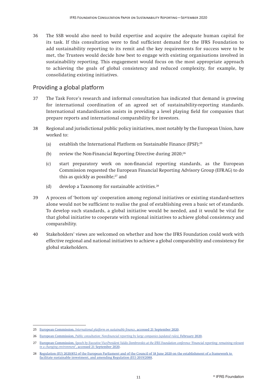36 The SSB would also need to build expertise and acquire the adequate human capital for its task. If this consultation were to find sufficient demand for the IFRS Foundation to add sustainability reporting to its remit and the key requirements for success were to be met, the Trustees would decide how best to engage with existing organisations involved in sustainability reporting. This engagement would focus on the most appropriate approach to achieving the goals of global consistency and reduced complexity, for example, by consolidating existing initiatives.

### <span id="page-11-0"></span>Providing a global platform

- 37 The Task Force's research and informal consultation has indicated that demand is growing for international coordination of an agreed set of sustainability-reporting standards. International standardisation assists in providing a level playing field for companies that prepare reports and international comparability for investors.
- 38 Regional and jurisdictional public policy initiatives, most notably by the European Union, have worked to:
	- (a) establish the International Platform on Sustainable Finance (IPSF);25
	- (b) review the Non-Financial Reporting Directive during  $2020;^{26}$
	- (c) start preparatory work on non-financial reporting standards, as the European Commission requested the European Financial Reporting Advisory Group (EFRAG) to do this as quickly as possible;<sup>27</sup> and
	- (d) develop a Taxonomy for sustainable activities. $28$
- 39 A process of 'bottom up' cooperation among regional initiatives or existing standard-setters alone would not be sufficient to realise the goal of establishing even a basic set of standards. To develop such standards, a global initiative would be needed, and it would be vital for that global initiative to cooperate with regional initiatives to achieve global consistency and comparability.
- 40 Stakeholders' views are welcomed on whether and how the IFRS Foundation could work with effective regional and national initiatives to achieve a global comparability and consistency for global stakeholders.

<sup>25</sup> European Commission, *[International platform on sustainable finance](https://ec.europa.eu/info/business-economy-euro/banking-and-finance/sustainable-finance/international-platform-sustainable-finance_en)*, accessed 21 September 2020.

<sup>26</sup> European Commission, *[Public consultation: Non-financial reporting by large companies \(updated rules\)](https://ec.europa.eu/info/law/better-regulation/have-your-say/initiatives/12129-Revision-of-Non-Financial-Reporting-Directive/public-consultation)*, February 2020.

<sup>27</sup> European Commission, *[Speech by Executive Vice-President Valdis Dombrovskis at the IFRS Foundation conference 'Financial reporting: remaining relevant](https://ec.europa.eu/commission/commissioners/2019-2024/dombrovskis/announcements/speech-executive-vice-president-valdis-dombrovskis-ifrs-foundation-conference-financial-reporting_en) in a changing environment*[', accessed 21 September 2020](https://ec.europa.eu/commission/commissioners/2019-2024/dombrovskis/announcements/speech-executive-vice-president-valdis-dombrovskis-ifrs-foundation-conference-financial-reporting_en).

<sup>28</sup> [Regulation \(EU\) 2020/852 of the European Parliament and of the Council of 18 June 2020 on the establishment of a framework to](https://eur-lex.europa.eu/legal-content/EN/TXT/?qid=1592905041630&uri=CELEX:32020R0852)  [facilitate sustainable investment, and amending Regulation \(EU\) 2019/2088.](https://eur-lex.europa.eu/legal-content/EN/TXT/?qid=1592905041630&uri=CELEX:32020R0852)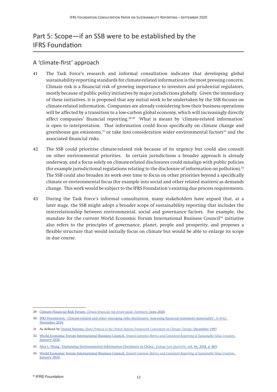# Part 5: Scope—if an SSB were to be established by the IFRS Foundation

### A 'climate-first' approach

- 41 The Task Force's research and informal consultation indicates that developing global sustainability-reporting standards for climate-related information is the most pressing concern. Climate risk is a financial risk of growing importance to investors and prudential regulators, mostly because of public policy initiatives by major jurisdictions globally. Given the immediacy of these initiatives, it is proposed that any initial work to be undertaken by the SSB focuses on climate-related information. Companies are already considering how their business operations will be affected by a transition to a low-carbon global economy, which will increasingly directly affect companies' financial reporting.29,30 What is meant by 'climate-related information' is open to interpretation. That information could focus specifically on climate change and greenhouse gas emissions, $31$  or take into consideration wider environmental factors $32$  and the associated financial risks.
- 42 The SSB could prioritise climate-related risk because of its urgency but could also consult on other environmental priorities. In certain jurisdictions a broader approach is already underway, and a focus solely on climate-related disclosures could misalign with public policies (for example jurisdictional regulations relating to the disclosure of information on pollution).33 The SSB could also broaden its work over time to focus on other priorities beyond a specifically climate or environmental focus (for example into social and other related matters) as demands change. This work would be subject to the IFRS Foundation's existing due process requirements.
- 43 During the Task Force's informal consultation, many stakeholders have argued that, at a later stage, the SSB might adopt a broader scope of sustainability reporting that includes the interrelationship between environmental, social and governance factors. For example, the mandate for the current World Economic Forum International Business Council<sup>34</sup> initiative also refers to the principles of governance, planet, people and prosperity, and proposes a flexible structure that would initially focus on climate but would be able to enlarge its scope in due course.

<sup>29</sup> Climate Financial Risk Forum, *[Climate financial risk forum guide: Summary](https://www.fca.org.uk/publication/corporate/climate-financial-risk-forum-guide-2020-summary.pdf)*, June 2020.

<sup>30</sup> IFRS Foundatio[n, 'Climate-related and other emerging risks disclosures: Assessing financial statement materiality',](https://cdn.ifrs.org/-/media/feature/news/2019/november/in-brief-climate-change-nick-anderson.pdf?la=en) *In Brief*, [November 2019.](https://cdn.ifrs.org/-/media/feature/news/2019/november/in-brief-climate-change-nick-anderson.pdf?la=en)

<sup>31</sup> As defined by United Nations, *[Kyoto Protocol to the United Nations Framework Convention on Climate Change](https://unfccc.int/sites/default/files/resource/docs/cop3/l07a01.pdf)*, December 1997.

<sup>32</sup> World Economic Forum International Business Council, *[Toward Common Metrics and Consistent Reporting of Sustainable Value Creation](https://www.weforum.org/whitepapers/toward-common-metrics-and-consistent-reporting-of-sustainable-value-creation)*, [January 2020](https://www.weforum.org/whitepapers/toward-common-metrics-and-consistent-reporting-of-sustainable-value-creation).

<sup>33</sup> [Alex L. Wang, 'Explaining Environmental Information Disclosure in China',](http://www.ecologylawquarterly.org/wp-content/uploads/2020/03/Explaining-Environmental-Information-Disclosure-in-China.pdf) *Ecology Law Quarterly*, vol. 44, 2018, p. 865.

<sup>34</sup> World Economic Forum International Business Council, *[Toward Common Metrics and Consistent Reporting of Sustainable Value Creation](https://www.weforum.org/whitepapers/toward-common-metrics-and-consistent-reporting-of-sustainable-value-creation)*, [January 2020](https://www.weforum.org/whitepapers/toward-common-metrics-and-consistent-reporting-of-sustainable-value-creation).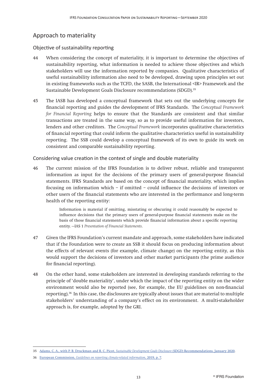### <span id="page-13-0"></span>Approach to materiality

### Objective of sustainability reporting

- 44 When considering the concept of materiality, it is important to determine the objectives of sustainability reporting, what information is needed to achieve those objectives and which stakeholders will use the information reported by companies. Qualitative characteristics of useful sustainability information also need to be developed, drawing upon principles set out in existing frameworks such as the TCFD, the SASB, the International <IR> Framework and the Sustainable Development Goals Disclosure recommendations (SDGD).35
- 45 The IASB has developed a conceptual framework that sets out the underlying concepts for financial reporting and guides the development of IFRS Standards. The *Conceptual Framework for Financial Reporting* helps to ensure that the Standards are consistent and that similar transactions are treated in the same way, so as to provide useful information for investors, lenders and other creditors. The *Conceptual Framework* incorporates qualitative characteristics of financial reporting that could inform the qualitative characteristics useful in sustainability reporting. The SSB could develop a conceptual framework of its own to guide its work on consistent and comparable sustainability reporting.

Considering value creation in the context of single and double materiality

46 The current mission of the IFRS Foundation is to deliver robust, reliable and transparent information as input for the decisions of the primary users of general-purpose financial statements. IFRS Standards are based on the concept of financial materiality, which implies focusing on information which – if omitted – could influence the decisions of investors or other users of the financial statements who are interested in the performance and long-term health of the reporting entity:

> Information is material if omitting, misstating or obscuring it could reasonably be expected to influence decisions that the primary users of general-purpose financial statements make on the basis of those financial statements which provide financial information about a specific reporting entity. —IAS 1 *Presentation of Financial Statements*.

- 47 Given the IFRS Foundation's current mandate and approach, some stakeholders have indicated that if the Foundation were to create an SSB it should focus on producing information about the effects of relevant events (for example, climate change) on the reporting entity, as this would support the decisions of investors and other market participants (the prime audience for financial reporting).
- 48 On the other hand, some stakeholders are interested in developing standards referring to the principle of 'double materiality', under which the impact of the reporting entity on the wider environment would also be reported (see, for example, the EU guidelines on non-financial reporting).36 In this case, the disclosures are typically about issues that are material to multiple stakeholders' understanding of a company's effect on its environment. A multi-stakeholder approach is, for example, adopted by the GRI.

<sup>35</sup> [Adams, C. A., with P. B. Druckman and R. C. Picot,](https://integratedreporting.org/wp-content/uploads/2020/01/ICAS5045_SDGD_Recommendations_A4_22pp_AW3-1.pdf) *Sustainable Development Goals Disclosure* (SDGD) Recommendations, January 2020.

<sup>36</sup> European Commission, *[Guidelines on reporting climate-related information](https://ec.europa.eu/finance/docs/policy/190618-climate-related-information-reporting-guidelines_en.pdf)*, 2019, p. [7.](https://ec.europa.eu/finance/docs/policy/190618-climate-related-information-reporting-guidelines_en.pdf
)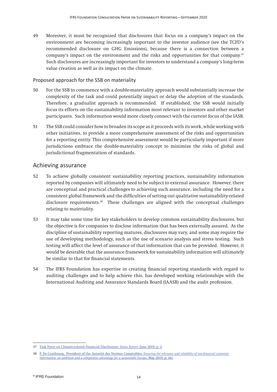49 Moreover, it must be recognized that disclosures that focus on a company's impact on the environment are becoming increasingly important to the investor audience (see the TCFD's recommended disclosure on GHG Emissions), because there is a connection between a company's impact on the environment and the risks and opportunities for that company.37 Such disclosures are increasingly important for investors to understand a company's long-term value creation as well as its impact on the climate.

#### Proposed approach for the SSB on materiality

- 50 For the SSB to commence with a double-materiality approach would substantially increase the complexity of the task and could potentially impact or delay the adoption of the standards. Therefore, a gradualist approach is recommended. If established, the SSB would initially focus its efforts on the sustainability information most relevant to investors and other market participants. Such information would more closely connect with the current focus of the IASB.
- 51 The SSB could consider how to broaden its scope as it proceeds with its work, while working with other initiatives, to provide a more comprehensive assessment of the risks and opportunities for a reporting entity. This comprehensive assessment would be particularly important if more jurisdictions embrace the double-materiality concept to minimize the risks of global and jurisdictional fragmentation of standards.

### <span id="page-14-0"></span>Achieving assurance

- 52 To achieve globally consistent sustainability reporting practices, sustainability information reported by companies will ultimately need to be subject to external assurance. However, there are conceptual and practical challenges to achieving such assurance, including the need for a consistent global framework and the difficulties of setting out qualitative sustainability-related disclosure requirements.38 These challenges are aligned with the conceptual challenges relating to materiality.
- 53 It may take some time for key stakeholders to develop common sustainability disclosures, but the objective is for companies to disclose information that has been externally assured. As the discipline of sustainability reporting matures, disclosures may vary, and some may require the use of developing methodology, such as the use of scenario analysis and stress testing. Such testing will affect the level of assurance of that information that can be provided. However, it would be desirable that the assurance framework for sustainability information will ultimately be similar to that for financial statements.
- 54 The IFRS Foundation has expertise in creating financial reporting standards with regard to auditing challenges and to help achieve this, has developed working relationships with the International Auditing and Assurance Standards Board (IAASB) and the audit profession.

<sup>37</sup> [Task Force on Climate-related Financial Disclosures,](https://www.fsb-tcfd.org/wp-content/uploads/2019/06/2019-TCFD-Status-Report-FINAL-053119.pdf) *Status Report*, June 2019, p. 2.

<sup>38</sup> [P. De Cambourg, President of the Autorité des Normes Comptables,](http://www.anc.gouv.fr/files/live/sites/anc/files/contributed/ANC/4.%20Qui%20sommes-nous/Communique_de_presse/Report-de-Cambourg_extra-financial-informations_May2019_EN.pdf) *Ensuring the relevance and reliability of non-financial corporate [information: an ambition and a competitive advantage for a sustainable Europe](http://www.anc.gouv.fr/files/live/sites/anc/files/contributed/ANC/4.%20Qui%20sommes-nous/Communique_de_presse/Report-de-Cambourg_extra-financial-informations_May2019_EN.pdf)*, May 2019, p. 161.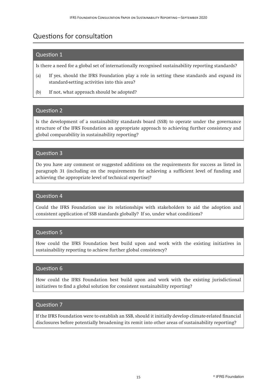# <span id="page-15-0"></span>Questions for consultation

### Question 1

Is there a need for a global set of internationally recognised sustainability reporting standards?

- (a) If yes, should the IFRS Foundation play a role in setting these standards and expand its standard-setting activities into this area?
- (b) If not, what approach should be adopted?

### Question 2

Is the development of a sustainability standards board (SSB) to operate under the governance structure of the IFRS Foundation an appropriate approach to achieving further consistency and global comparability in sustainability reporting?

### Question 3

Do you have any comment or suggested additions on the requirements for success as listed in paragraph 31 (including on the requirements for achieving a sufficient level of funding and achieving the appropriate level of technical expertise)?

#### Question 4

Could the IFRS Foundation use its relationships with stakeholders to aid the adoption and consistent application of SSB standards globally? If so, under what conditions?

### Question 5

How could the IFRS Foundation best build upon and work with the existing initiatives in sustainability reporting to achieve further global consistency?

### Question 6

How could the IFRS Foundation best build upon and work with the existing jurisdictional initiatives to find a global solution for consistent sustainability reporting?

#### Question 7

If the IFRS Foundation were to establish an SSB, should it initially develop climate-related financial disclosures before potentially broadening its remit into other areas of sustainability reporting?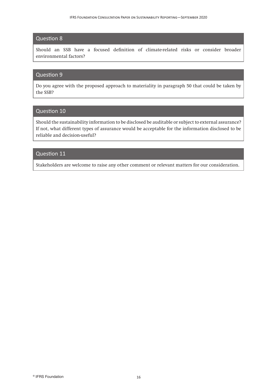### Question 8

Should an SSB have a focused definition of climate-related risks or consider broader environmental factors?

#### Question 9

Do you agree with the proposed approach to materiality in paragraph 50 that could be taken by the SSB?

### Question 10

Should the sustainability information to be disclosed be auditable or subject to external assurance? If not, what different types of assurance would be acceptable for the information disclosed to be reliable and decision-useful?

### Question 11

Stakeholders are welcome to raise any other comment or relevant matters for our consideration.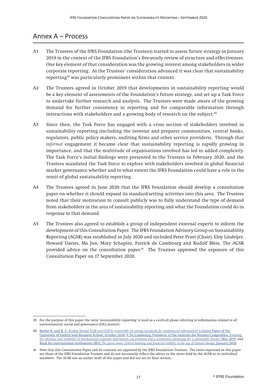### <span id="page-17-0"></span>Annex A – Process

- A1 The Trustees of the IFRS Foundation (the Trustees) started to assess future strategy in January 2019 in the context of the IFRS Foundation's five-yearly review of structure and effectiveness. One key element of that consideration was the growing interest among stakeholders in wider corporate reporting. As the Trustees' consideration advanced it was clear that sustainability reporting<sup>39</sup> was particularly prominent within that context.
- A2 The Trustees agreed in October 2019 that developments in sustainability reporting would be a key element of assessments of the Foundation's future strategy, and set up a Task Force to undertake further research and analysis. The Trustees were made aware of the growing demand for further consistency in reporting and for comparable information through interactions with stakeholders and a growing body of research on the subject.<sup>40</sup>
- A3 Since then, the Task Force has engaged with a cross section of stakeholders involved in sustainability reporting (including the investor and preparer communities, central banks, regulators, public policy makers, auditing firms and other service providers). Through that *informal* engagement it became clear that sustainability reporting is rapidly growing in importance, and that the multitude of organisations involved has led to added complexity. The Task Force's initial findings were presented to the Trustees in February 2020, and the Trustees mandated the Task Force to explore with stakeholders involved in global financial market governance whether and to what extent the IFRS Foundation could have a role in the remit of global sustainability reporting.
- A4 The Trustees agreed in June 2020 that the IFRS Foundation should develop a consultation paper on whether it should expand its standard-setting activities into this area. The Trustees noted that their motivation to consult publicly was to fully understand the type of demand from stakeholders in the area of sustainability reporting and what the Foundation could do in response to that demand.
- A5 The Trustees also agreed to establish a group of independent external experts to inform the development of this Consultation Paper. The IFRS Foundation Advisory Group on Sustainability Reporting (AGSR) was established in July 2020 and included Peter Praet (Chair), Eloy Lindeijer, Howard Davies, Ma Jun, Mary Schapiro, Patrick de Cambourg and Rudolf Bless. The AGSR provided advice on the consultation paper.<sup>41</sup> The Trustees approved the exposure of this Consultation Paper on 17 September 2020.

<sup>39</sup> For the purpose of this paper the term 'sustainability reporting' is used as a catch-all phase referring to information related to all environmental, social and governance (ESG) matters.

<sup>40</sup> Barker R. and R. G. Eccles, *[Should FASB and IASB be responsible for setting standards for nonfinancial information?](https://www.sbs.ox.ac.uk/sites/default/files/2018-10/Green%20Paper_0.pdf)* a Green Paper of the [University of Oxford Saïd Business School, October 2018;](https://www.sbs.ox.ac.uk/sites/default/files/2018-10/Green%20Paper_0.pdf) [P. De Cambourg, President of the Autorité des Normes Comptables,](https://www.sbs.ox.ac.uk/sites/default/files/2018-10/Green%20Paper_0.pdf) *Ensuring [the relevance and reliability of non-financial corporate information: an ambition and a competitive advantage for a sustainable Europe](https://www.sbs.ox.ac.uk/sites/default/files/2018-10/Green%20Paper_0.pdf)*, May 2019; and Bank for international settlements (BIS), *[The green swan: Central banking and financial stability in the age of climate change](https://www.bis.org/publ/othp31.pdf)*, January 2020.

<sup>41</sup> Note that this Consultation Paper and its contents are approved by the IFRS Foundation Trustees. The views expressed in this paper are those of the IFRS Foundation Trustees and do not necessarily reflect the advice or the views held by the AGSR or its individual members. The AGSR saw an earlier draft of this paper and did not see its final version.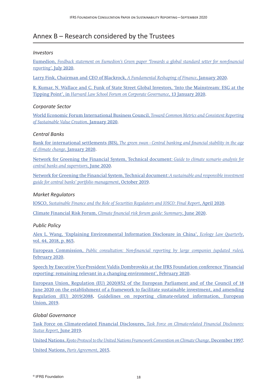## <span id="page-18-0"></span>Annex B – Research considered by the Trustees

#### *Investors*

Eumedion, *[Feedback statement on Eumedion's Green paper 'Towards a global standard setter for non-financial](https://en.eumedion.nl/clientdata/217/media/clientimages/Feedback-statement-Green-Paper-NFI-def.pdf?v=200724154423) reporting'*[, July 2020](https://en.eumedion.nl/clientdata/217/media/clientimages/Feedback-statement-Green-Paper-NFI-def.pdf?v=200724154423).

[Larry Fink, Chairman and CEO of Blackrock,](https://www.blackrock.com/corporate/investor-relations/larry-fink-ceo-letter) *A Fundamental Reshaping of Finance*, January 2020.

[R. Kumar, N. Wallace and C. Funk of State Street Global Investors, 'Into the Mainstream: ESG at the](https://corpgov.law.harvard.edu/2020/01/13/into-the-mainstream-esg-at-the-tipping-point/) Tipping Point', in *[Harvard Law School Forum on Corporate Governance](https://corpgov.law.harvard.edu/2020/01/13/into-the-mainstream-esg-at-the-tipping-point/)*, 13 January 2020.

#### *Corporate Sector*

[World Economic Forum International Business Council,](https://www.weforum.org/whitepapers/toward-common-metrics-and-consistent-reporting-of-sustainable-value-creation) *Toward Common Metrics and Consistent Reporting [of Sustainable Value Creation](https://www.weforum.org/whitepapers/toward-common-metrics-and-consistent-reporting-of-sustainable-value-creation)*, January 2020.

#### *Central Banks*

Bank for international settlements (BIS), *[The green swan - Central banking and financial stability in the age](https://www.bis.org/publ/othp31.pdf) [of climate change](https://www.bis.org/publ/othp31.pdf)*, January 2020.

[Network for Greening the Financial System, Technical document:](https://www.ngfs.net/sites/default/files/medias/documents/ngfs_guide_scenario_analysis_final.pdf) *Guide to climate scenario analysis for [central banks and supervisors](https://www.ngfs.net/sites/default/files/medias/documents/ngfs_guide_scenario_analysis_final.pdf)*, June 2020.

[Network for Greening the Financial System, Technical document:](https://www.ngfs.net/sites/default/files/medias/documents/ngfs-a-sustainable-and-responsible-investment-guide.pdf) *A sustainable and responsible investment [guide for central banks' portfolio management](https://www.ngfs.net/sites/default/files/medias/documents/ngfs-a-sustainable-and-responsible-investment-guide.pdf)*, October 2019.

#### *Market Regulators*

IOSCO, *[Sustainable Finance and the Role of Securities Regulators and IOSCO: Final Report](https://www.iosco.org/library/pubdocs/pdf/IOSCOPD652.pdf)*, April 2020.

Climate Financial Risk Forum, *[Climate financial risk forum guide: Summary](https://www.fca.org.uk/publication/corporate/climate-financial-risk-forum-guide-2020-summary.pdf)*, June 2020.

*Public Policy*

[Alex L. Wang, 'Explaining Environmental Information Disclosure in China',](http://www.ecologylawquarterly.org/wp-content/uploads/2020/03/Explaining-Environmental-Information-Disclosure-in-China.pdf) *Ecology Law Quarterly*, [vol. 44, 2018, p. 865](http://www.ecologylawquarterly.org/wp-content/uploads/2020/03/Explaining-Environmental-Information-Disclosure-in-China.pdf).

European Commission, *[Public consultation: Non-financial reporting by large companies \(updated rules\)](https://ec.europa.eu/info/law/better-regulation/have-your-say/initiatives/12129-Revision-of-Non-Financial-Reporting-Directive/public-consultation)*, [February 2020.](https://ec.europa.eu/info/law/better-regulation/have-your-say/initiatives/12129-Revision-of-Non-Financial-Reporting-Directive/public-consultation)

[Speech by Executive Vice-President Valdis Dombrovskis at the IFRS Foundation conference 'Financial](https://ec.europa.eu/commission/commissioners/2019-2024/dombrovskis/announcements/speech-executive-vice-president-valdis-dombrovskis-ifrs-foundation-conference-financial-reporting_en) [reporting: remaining relevant in a changing environment', February 2020](https://ec.europa.eu/commission/commissioners/2019-2024/dombrovskis/announcements/speech-executive-vice-president-valdis-dombrovskis-ifrs-foundation-conference-financial-reporting_en).

[European Union, Regulation \(EU\) 2020/852 of the European Parliament and of the Council of 18](https://ec.europa.eu/commission/commissioners/2019-2024/dombrovskis/announcements/speech-executive-vice-president-valdis-dombrovskis-ifrs-foundation-conference-financial-reporting_enhttps://eur-lex.europa.eu/legal-content/EN/TXT/?qid=1592905041630&uri=CELEX:32020R0852) [June 2020 on the establishment of a framework to facilitate sustainable investment, and amending](https://ec.europa.eu/commission/commissioners/2019-2024/dombrovskis/announcements/speech-executive-vice-president-valdis-dombrovskis-ifrs-foundation-conference-financial-reporting_enhttps://eur-lex.europa.eu/legal-content/EN/TXT/?qid=1592905041630&uri=CELEX:32020R0852) [Regulation \(EU\) 2019/2088,](https://ec.europa.eu/commission/commissioners/2019-2024/dombrovskis/announcements/speech-executive-vice-president-valdis-dombrovskis-ifrs-foundation-conference-financial-reporting_enhttps://eur-lex.europa.eu/legal-content/EN/TXT/?qid=1592905041630&uri=CELEX:32020R0852) [Guidelines on reporting climate-related information, European](https://ec.europa.eu/finance/docs/policy/190618-climate-related-information-reporting-guidelines_en.pdf) [Union, 2019](https://ec.europa.eu/finance/docs/policy/190618-climate-related-information-reporting-guidelines_en.pdf).

### *Global Governance*

[Task Force on Climate-related Financial Disclosures,](https://www.fsb-tcfd.org/wp-content/uploads/2019/06/2019-TCFD-Status-Report-FINAL-053119.pdf) *Task Force on Climate-related Financial Disclosures: [Status Report](https://www.fsb-tcfd.org/wp-content/uploads/2019/06/2019-TCFD-Status-Report-FINAL-053119.pdf)*, June 2019.

United Nations, *[Kyoto Protocol to the United Nations Framework Convention on Climate Change](https://unfccc.int/sites/default/files/resource/docs/cop3/l07a01.pdf)*, December 1997.

[United Nations,](https://unfccc.int/files/essential_background/convention/application/pdf/english_paris_agreement.pdf) *Paris Agreement*, 2015.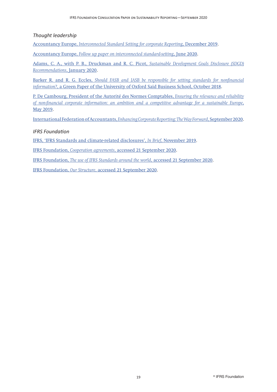*Thought leadership*

Accountancy Europe, *[Interconnected Standard Setting for corporate Reporting](https://www.accountancyeurope.eu/wp-content/uploads/191220-Future-of-Corporate-Reporting.pdf)*, December 2019.

Accountancy Europe, *[Follow up paper on interconnected standard-setting](https://www.accountancyeurope.eu/publications/follow-up-paper-interconnected-standard-setting-for-corporate-reporting/)*, June 2020.

[Adams, C. A., with P. B., Druckman and R. C. Picot,](https://integratedreporting.org/wp-content/uploads/2020/01/ICAS5045_SDGD_Recommendations_A4_22pp_AW3-1.pdf) *Sustainable Development Goals Disclosure (SDGD) [Recommendations](https://integratedreporting.org/wp-content/uploads/2020/01/ICAS5045_SDGD_Recommendations_A4_22pp_AW3-1.pdf)*, January 2020.

Barker R. and R. G. Eccles, *[Should FASB and IASB be responsible for setting standards for nonfinancial](https://www.sbs.ox.ac.uk/sites/default/files/2018-10/Green%20Paper_0.pdf) information?*[, a Green Paper of the University of Oxford Saïd Business School, October 2018](https://www.sbs.ox.ac.uk/sites/default/files/2018-10/Green%20Paper_0.pdf).

[P. De Cambourg, President of the Autorité des Normes Comptables,](http://www.anc.gouv.fr/files/live/sites/anc/files/contributed/ANC/4.%20Qui%20sommes-nous/Communique_de_presse/Report-de-Cambourg_extra-financial-informations_May2019_EN.pdf) *Ensuring the relevance and reliability [of non-financial corporate information: an ambition and a competitive advantage for a sustainable Europe](http://www.anc.gouv.fr/files/live/sites/anc/files/contributed/ANC/4.%20Qui%20sommes-nous/Communique_de_presse/Report-de-Cambourg_extra-financial-informations_May2019_EN.pdf)*, [May 2019.](http://www.anc.gouv.fr/files/live/sites/anc/files/contributed/ANC/4.%20Qui%20sommes-nous/Communique_de_presse/Report-de-Cambourg_extra-financial-informations_May2019_EN.pdf)

International Federation of Accountants, *[Enhancing Corporate Reporting: The Way Forward](https://www.ifac.org/knowledge-gateway/contributing-global-economy/discussion/enhancing-corporate-reporting-way-forward)*, September 2020.

*IFRS Foundation*

[IFRS, 'IFRS Standards and climate-related disclosures',](https://cdn.ifrs.org/-/media/feature/news/2019/november/in-brief-climate-change-nick-anderson.pdf?la=en
) *In Brief*, November 2019.

IFRS Foundation, *Cooperation agreements*[, accessed 21 September 2020](https://www.ifrs.org/use-around-the-world/why-global-accounting-standards/#cooperation).

IFRS Foundation, *[The use of IFRS Standards around the world](https://www.ifrs.org/use-around-the-world/)*, accessed 21 September 2020.

IFRS Foundation, *Our Structure*[, accessed 21 September 2020.](https://www.ifrs.org/about-us/our-structure/)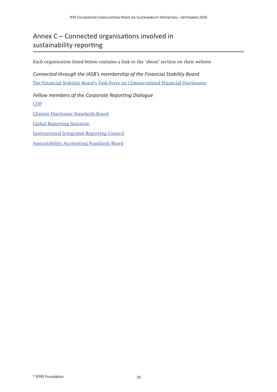# Annex C – Connected organisations involved in sustainability reporting

Each organisation listed below contains a link to the 'about' section on their website

*Connected through the IASB's membership of the Financial Stability Board* [The Financial Stability Board's Task Force on Climate-related Financial Disclosures](https://www.fsb-tcfd.org/about/)

*Fellow members of the Corporate Reporting Dialogue* [CDP](https://www.cdp.net/en/info/about-us) [Climate Disclosure Standards Board](https://www.cdsb.net/our-story) [Global Reporting Initiative](https://www.globalreporting.org/Information/about-gri/Pages/default.aspx) [International Integrated Reporting Council](https://integratedreporting.org/the-iirc-2/) [Sustainability Accounting Standards Board](https://www.sasb.org/governance/standards-board/)